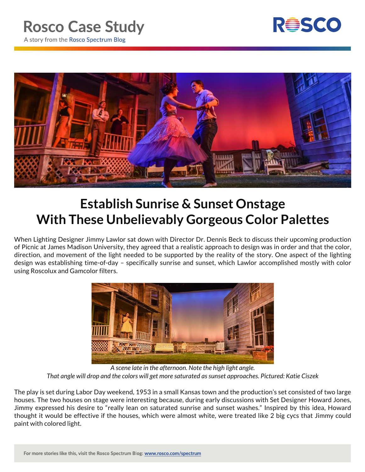



## **Establish Sunrise & Sunset Onstage With These Unbelievably Gorgeous Color Palettes**

When Lighting Designer Jimmy Lawlor sat down with Director Dr. Dennis Beck to discuss their upcoming production of Picnic at James Madison University, they agreed that a realistic approach to design was in order and that the color, direction, and movement of the light needed to be supported by the reality of the story. One aspect of the lighting design was establishing time-of-day – specifically sunrise and sunset, which Lawlor accomplished mostly with color using Roscolux and Gamcolor filters.



*A scene late in the afternoon. Note the high light angle. That angle will drop and the colors will get more saturated as sunset approaches. Pictured: Katie Ciszek*

The play is set during Labor Day weekend, 1953 in a small Kansas town and the production's set consisted of two large houses. The two houses on stage were interesting because, during early discussions with Set Designer Howard Jones, Jimmy expressed his desire to "really lean on saturated sunrise and sunset washes." Inspired by this idea, Howard thought it would be effective if the houses, which were almost white, were treated like 2 big cycs that Jimmy could paint with colored light.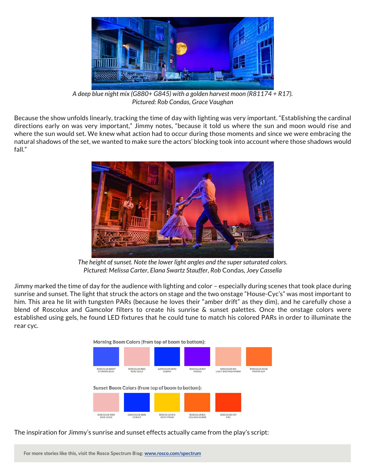

*A deep blue night mix (G880+ G845) with a golden harvest moon (R81174 + R17). Pictured: Rob Condas, Grace Vaughan*

Because the show unfolds linearly, tracking the time of day with lighting was very important. "Establishing the cardinal directions early on was very important," Jimmy notes, "because it told us where the sun and moon would rise and where the sun would set. We knew what action had to occur during those moments and since we were embracing the natural shadows of the set, we wanted to make sure the actors' blocking took into account where those shadows would fall."



*The height of sunset. Note the lower light angles and the super saturated colors. Pictured: Melissa Carter, Elana Swartz Stauffer, Rob* Condas*, Joey Cassella*

Jimmy marked the time of day for the audience with lighting and color – especially during scenes that took place during sunrise and sunset. The light that struck the actors on stage and the two onstage "House-Cyc's" was most important to him. This area he lit with tungsten PARs (because he loves their "amber drift" as they dim), and he carefully chose a blend of Roscolux and Gamcolor filters to create his sunrise & sunset palettes. Once the onstage colors were established using gels, he found LED fixtures that he could tune to match his colored PARs in order to illuminate the rear cyc.



The inspiration for Jimmy's sunrise and sunset effects actually came from the play's script:

For more stories like this, visit the Rosco Spectrum Blog: www.rosco.com/spectrum